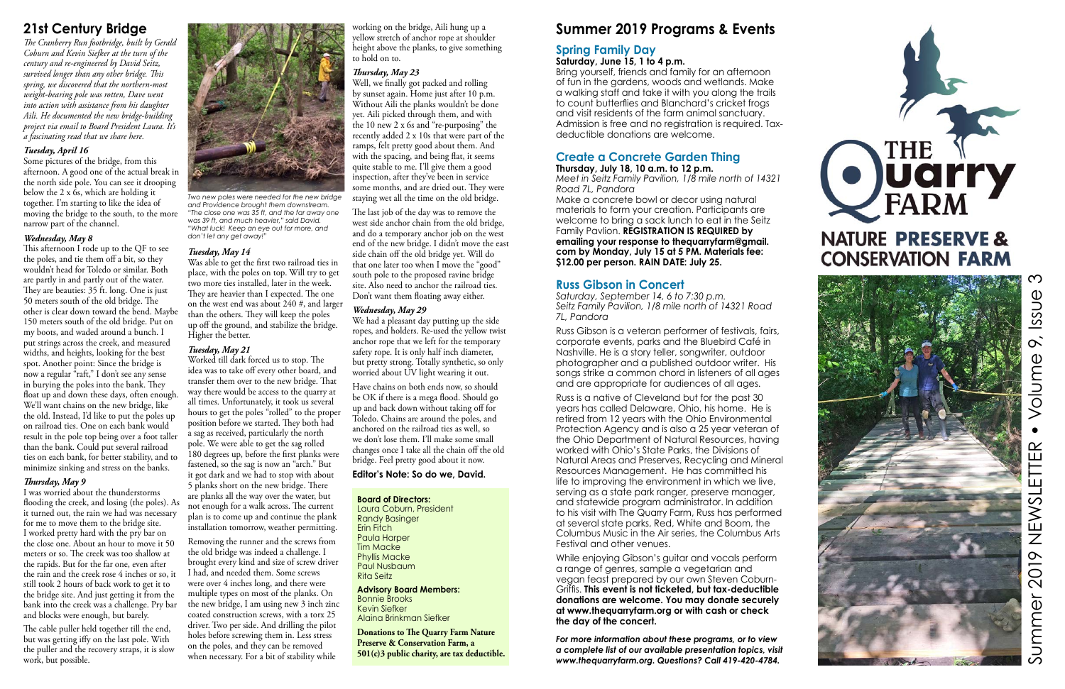### **Summer 2019 Programs & Events**

### **Spring Family Day**

**Saturday, June 15, 1 to 4 p.m.**

Bring yourself, friends and family for an afternoon of fun in the gardens, woods and wetlands. Make a walking staff and take it with you along the trails to count butterflies and Blanchard's cricket frogs and visit residents of the farm animal sanctuary. Admission is free and no registration is required. Taxdeductible donations are welcome.

### **Create a Concrete Garden Thing**

**Thursday, July 18, 10 a.m. to 12 p.m.** *Meet in Seitz Family Pavilion, 1/8 mile north of 14321* 

*Road 7L, Pandora*

Make a concrete bowl or decor using natural materials to form your creation. Participants are welcome to bring a sack lunch to eat in the Seitz Family Pavlion. **REGISTRATION IS REQUIRED by emailing your response to thequarryfarm@gmail. com by Monday, July 15 at 5 PM. Materials fee: \$12.00 per person. RAIN DATE: July 25.** 

### **Russ Gibson in Concert**

*Saturday, September 14, 6 to 7:30 p.m. Seitz Family Pavilion, 1/8 mile north of 14321 Road 7L, Pandora*

Russ Gibson is a veteran performer of festivals, fairs, corporate events, parks and the Bluebird Café in Nashville. He is a story teller, songwriter, outdoor photographer and a published outdoor writer. His songs strike a common chord in listeners of all ages and are appropriate for audiences of all ages.

Russ is a native of Cleveland but for the past 30 years has called Delaware, Ohio, his home. He is retired from 12 years with the Ohio Environmental Protection Agency and is also a 25 year veteran of the Ohio Department of Natural Resources, having worked with Ohio's State Parks, the Divisions of Natural Areas and Preserves, Recycling and Mineral Resources Management. He has committed his life to improving the environment in which we live, serving as a state park ranger, preserve manager, and statewide program administrator. In addition to his visit with The Quarry Farm, Russ has performed at several state parks, Red, White and Boom, the Columbus Music in the Air series, the Columbus Arts Festival and other venues.

While enjoying Gibson's guitar and vocals perform a range of genres, sample a vegetarian and vegan feast prepared by our own Steven Coburn-Griffis. **This event is not ticketed, but tax-deductible donations are welcome. You may donate securely at www.thequarryfarm.org or with cash or check the day of the concert.**

*For more information about these programs, or to view a complete list of our available presentation topics, visit www.thequarryfarm.org. Questions? Call 419-420-4784.*





 $\infty$ Summer 2019 NEWSLETTER • Volume 9, Issue 3 Issue  $\infty$ Volume  $\bullet$  $\alpha$ ETTER 2019 NEWSL Summer

### **21st Century Bridge**

*The Cranberry Run footbridge, built by Gerald Coburn and Kevin Siefker at the turn of the century and re-engineered by David Seitz, survived longer than any other bridge. This spring, we discovered that the northern-most weight-bearing pole was rotten, Dave went into action with assistance from his daughter Aili. He documented the new bridge-building project via email to Board President Laura. It's a fascinating read that we share here.* 

#### *Tuesday, April 16*

Removing the runner and the screws from the old bridge was indeed a challenge. I brought every kind and size of screw driver I had, and needed them. Some screws were over 4 inches long, and there were multiple types on most of the planks. On the new bridge, I am using new 3 inch zinc coated construction screws, with a torx 25 driver. Two per side. And drilling the pilot holes before screwing them in. Less stress on the poles, and they can be removed when necessary. For a bit of stability while

Some pictures of the bridge, from this afternoon. A good one of the actual break in the north side pole. You can see it drooping below the 2 x  $\dot{6}$ s, which are holding it together. I'm starting to like the idea of moving the bridge to the south, to the more narrow part of the channel.

#### *Wednesday, May 8*

Well, we finally got packed and rolling by sunset again. Home just after 10 p.m. Without Aili the planks wouldn't be done yet. Aili picked through them, and with the 10 new 2  $x$  6s and "re-purposing" the recently added 2 x 10s that were part of the ramps, felt pretty good about them. And with the spacing, and being flat, it seems quite stable to me. I'll give them a good inspection, after they've been in service some months, and are dried out. They were staying wet all the time on the old bridge.

This afternoon I rode up to the QF to see the poles, and tie them off a bit, so they wouldn't head for Toledo or similar. Both are partly in and partly out of the water. They are beauties: 35 ft. long. One is just 50 meters south of the old bridge. The other is clear down toward the bend. Maybe 150 meters south of the old bridge. Put on my boots, and waded around a bunch. I put strings across the creek, and measured widths, and heights, looking for the best spot. Another point: Since the bridge is now a regular "raft," I don't see any sense in burying the poles into the bank. They float up and down these days, often enough. We'll want chains on the new bridge, like the old. Instead, I'd like to put the poles up on railroad ties. One on each bank would result in the pole top being over a foot taller than the bank. Could put several railroad ties on each bank, for better stability, and to minimize sinking and stress on the banks.

We had a pleasant day putting up the side ropes, and holders. Re-used the yellow twist anchor rope that we left for the temporary safety rope. It is only half inch diameter, but pretty strong. Totally synthetic, so only worried about UV light wearing it out.

#### *Thursday, May 9*

I was worried about the thunderstorms flooding the creek, and losing (the poles). As it turned out, the rain we had was necessary for me to move them to the bridge site. I worked pretty hard with the pry bar on the close one. About an hour to move it 50 meters or so. The creek was too shallow at the rapids. But for the far one, even after the rain and the creek rose 4 inches or so, it still took 2 hours of back work to get it to the bridge site. And just getting it from the bank into the creek was a challenge. Pry bar and blocks were enough, but barely.

The cable puller held together till the end, but was getting iffy on the last pole. With the puller and the recovery straps, it is slow work, but possible.



#### *Tuesday, May 14*

Was able to get the first two railroad ties in place, with the poles on top. Will try to get two more ties installed, later in the week. They are heavier than I expected. The one on the west end was about 240 #, and larger than the others. They will keep the poles up off the ground, and stabilize the bridge. Higher the better.

### *Tuesday, May 21*

Worked till dark forced us to stop. The idea was to take off every other board, and transfer them over to the new bridge. That way there would be access to the quarry at all times. Unfortunately, it took us several hours to get the poles "rolled" to the proper position before we started. They both had a sag as received, particularly the north pole. We were able to get the sag rolled 180 degrees up, before the first planks were fastened, so the sag is now an "arch." But it got dark and we had to stop with about 5 planks short on the new bridge. There are planks all the way over the water, but not enough for a walk across. The current plan is to come up and continue the plank installation tomorrow, weather permitting.

working on the bridge, Aili hung up a yellow stretch of anchor rope at shoulder height above the planks, to give something to hold on to.

### *Thursday, May 23*

The last job of the day was to remove the west side anchor chain from the old bridge, and do a temporary anchor job on the west end of the new bridge. I didn't move the east side chain off the old bridge yet. Will do that one later too when I move the "good" south pole to the proposed ravine bridge site. Also need to anchor the railroad ties. Don't want them floating away either.

#### *Wednesday, May 29*

Have chains on both ends now, so should be OK if there is a mega flood. Should go up and back down without taking off for Toledo. Chains are around the poles, and anchored on the railroad ties as well, so we don't lose them. I'll make some small changes once I take all the chain off the old bridge. Feel pretty good about it now.

#### **Editor's Note: So do we, David.**

*Two new poles were needed for the new bridge and Providence brought them downstream. "The close one was 35 ft, and the far away one was 39 ft, and much heavier," said David. "What luck! Keep an eye out for more, and don't let any get away!"*

#### **Board of Directors:**

Laura Coburn, President Randy Basinger Erin Fitch Paula Harper Tim Macke Phyllis Macke Paul Nusbaum Rita Seitz

**Advisory Board Members:** Bonnie Brooks Kevin Siefker Alaina Brinkman Siefker

**Donations to The Quarry Farm Nature Preserve & Conservation Farm, a 501(c)3 public charity, are tax deductible.**